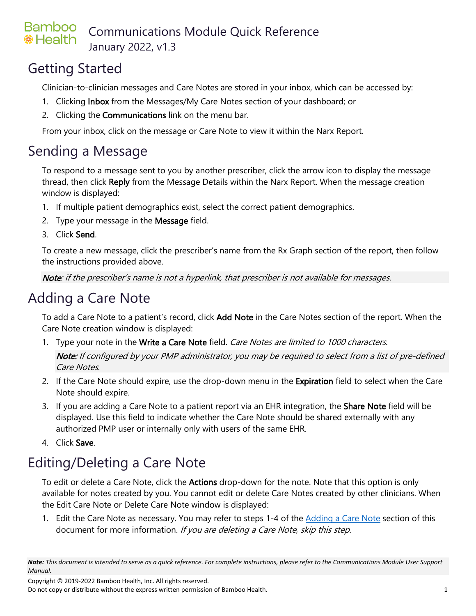#### **Bamboo** Communications Module Quick Reference **※Health** January 2022, v1.3

### Getting Started

Clinician-to-clinician messages and Care Notes are stored in your inbox, which can be accessed by:

- 1. Clicking **Inbox** from the Messages/My Care Notes section of your dashboard; or
- 2. Clicking the **Communications** link on the menu bar.

From your inbox, click on the message or Care Note to view it within the Narx Report.

### Sending a Message

To respond to a message sent to you by another prescriber, click the arrow icon to display the message thread, then click Reply from the Message Details within the Narx Report. When the message creation window is displayed:

- 1. If multiple patient demographics exist, select the correct patient demographics.
- 2. Type your message in the **Message** field.
- 3. Click Send.

To create a new message, click the prescriber's name from the Rx Graph section of the report, then follow the instructions provided above.

Note: if the prescriber's name is not a hyperlink, that prescriber is not available for messages.

## <span id="page-0-0"></span>Adding a Care Note

To add a Care Note to a patient's record, click Add Note in the Care Notes section of the report. When the Care Note creation window is displayed:

- 1. Type your note in the Write a Care Note field. Care Notes are limited to 1000 characters. Note: If configured by your PMP administrator, you may be required to select from a list of pre-defined Care Notes.
- 2. If the Care Note should expire, use the drop-down menu in the Expiration field to select when the Care Note should expire.
- 3. If you are adding a Care Note to a patient report via an EHR integration, the Share Note field will be displayed. Use this field to indicate whether the Care Note should be shared externally with any authorized PMP user or internally only with users of the same EHR.
- 4. Click Save.

# Editing/Deleting a Care Note

To edit or delete a Care Note, click the **Actions** drop-down for the note. Note that this option is only available for notes created by you. You cannot edit or delete Care Notes created by other clinicians. When the Edit Care Note or Delete Care Note window is displayed:

1. Edit the Care Note as necessary. You may refer to steps 1-4 of the [Adding a Care Note](#page-0-0) section of this document for more information. If you are deleting a Care Note, skip this step.

Copyright © 2019-2022 Bamboo Health, Inc. All rights reserved.

Do not copy or distribute without the express written permission of Bamboo Health. 1

*Note: This document is intended to serve as a quick reference. For complete instructions, please refer to the Communications Module User Support Manual.*